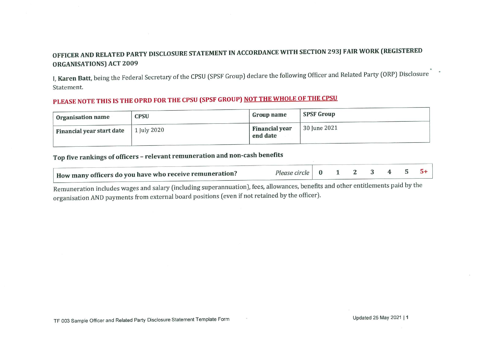## OFFICER AND RELATED PARTY DISCLOSURE STATEMENT IN ACCORDANCE WITH SECTION 293J FAIR WORK (REGISTERED ORGANISATIONS) ACT 2009

I, Karen Batt, being the Federal Secretary of the CPSU (SPSF Group) declare the following Officer and Related Party (ORP) Disclosure Statement.

## PLEASE NOTE THIS IS THE OPRD FOR THE CPSU (SPSF GROUP) <u>NOT THE WHOLE OF THE CPSU</u>

| <b>Organisation name</b>  | <b>CPSU</b> | Group name                        | <b>SPSF Group</b>          |
|---------------------------|-------------|-----------------------------------|----------------------------|
| Financial year start date | [ July 2020 | <b>Financial year</b><br>end date | $\frac{1}{2}$ 30 June 2021 |

## Top five rankings of officers - relevant remuneration and non-cash benefits

| How many officers do you have who receive remuneration? | Please circle   $0$ 1 2 3 4 5 5+ |  |  |  |  |
|---------------------------------------------------------|----------------------------------|--|--|--|--|

Remuneration includes wages and salary (including superannuation), fees, allowances, benefits and other entitlements paid by the organisation AND payments from external board positions (even if not retained by the officer).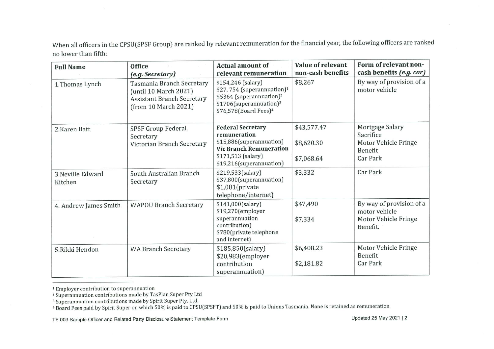When all officers in the CPSU(SPSF Group) are ranked by relevant remuneration for the financial year, the following officers are ranked no lower than fifth:

| <b>Full Name</b>             | Office<br>(e.g. Secretary)                                                                                      | <b>Actual amount of</b><br>relevant remuneration                                                                                                                                 | Value of relevant<br>non-cash benefits  | Form of relevant non-<br>cash benefits (e.g. car)                             |
|------------------------------|-----------------------------------------------------------------------------------------------------------------|----------------------------------------------------------------------------------------------------------------------------------------------------------------------------------|-----------------------------------------|-------------------------------------------------------------------------------|
| 1.Thomas Lynch               | Tasmania Branch Secretary<br>(until 10 March 2021)<br><b>Assistant Branch Secretary</b><br>(from 10 March 2021) | \$154,246 (salary)<br>\$27,754 (superannuation) <sup>1</sup><br>\$5364 (superannuation) <sup>2</sup><br>\$1706(superannuation) <sup>3</sup><br>\$76,578(Board Fees) <sup>4</sup> | \$8,267                                 | By way of provision of a<br>motor vehicle                                     |
| 2.Karen Batt                 | SPSF Group Federal.<br>Secretary<br>Victorian Branch Secretary                                                  | <b>Federal Secretary</b><br>remuneration<br>\$15,886(superannuation)<br><b>Vic Branch Remuneration</b><br>\$171,513 (salary)<br>\$19,216(superannuation)                         | \$43,577.47<br>\$8,620.30<br>\$7,068.64 | Mortgage Salary<br>Sacrifice<br>Motor Vehicle Fringe<br>Benefit<br>Car Park   |
| 3. Neville Edward<br>Kitchen | South Australian Branch<br>Secretary                                                                            | \$219,533(salary)<br>\$37,800(superannuation)<br>$$1,081$ (private<br>telephone/internet)                                                                                        | \$3,332                                 | Car Park                                                                      |
| 4. Andrew James Smith        | <b>WAPOU Branch Secretary</b>                                                                                   | \$141,000(salary)<br>\$19,270(employer<br>superannuation<br>contribution)<br>\$780(private telephone<br>and internet)                                                            | \$47,490<br>\$7,334                     | By way of provision of a<br>motor vehicle<br>Motor Vehicle Fringe<br>Benefit. |
| 5.Rikki Hendon               | <b>WA Branch Secretary</b>                                                                                      | \$185,850(salary)<br>\$20,983(employer<br>contribution<br>superannuation)                                                                                                        | \$6,408.23<br>\$2,181.82                | Motor Vehicle Fringe<br>Benefit<br><b>Car Park</b>                            |

<sup>1</sup> Employer contribution to superannuation

<sup>&</sup>lt;sup>2</sup> Superannuation contributions made by TasPlan Super Pty Ltd

<sup>&</sup>lt;sup>3</sup> Superannuation contributions made by Spirit Super Pty. Ltd.

<sup>&</sup>lt;sup>4</sup> Board Fees paid by Spirit Super on which 50% is paid to CPSU(SPSFT) and 50% is paid to Unions Tasmania. None is retained as remuneration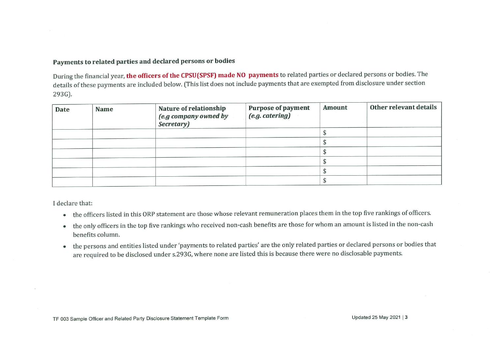## Payments to related parties and declared persons or bodies

During the financial year, the officers of the CPSU(SPSF) made NO payments to related parties or declared persons or bodies. The details of these payments are included below. CThis list does not include payments that are exempted from disclosure under section 293G).

| <b>Date</b> | <b>Name</b> | Nature of relationship<br>(e.g company owned by<br>Secretary) | <b>Purpose of payment</b><br>(e.g. catering) | <b>Amount</b> | Other relevant details |
|-------------|-------------|---------------------------------------------------------------|----------------------------------------------|---------------|------------------------|
|             |             |                                                               |                                              |               |                        |
|             |             |                                                               |                                              |               |                        |
|             |             |                                                               |                                              |               |                        |
|             |             |                                                               |                                              |               |                        |
|             |             |                                                               |                                              |               |                        |
|             |             |                                                               |                                              |               |                        |

declare that:

- . the officers listed in this ORP statement are those whose relevant remuneration places them in the top five rankings of officers'
- o the only officers in the top five rankings who received non-cash benefits are those for whom an amount is listed in the non-cash benefits column.
- . the persons and entities listed under 'payments to related parties are the only related parties or declared persons or bodies that are required to be disclosed under s. 293G, where none are listed this is because there were no disclosable payments.